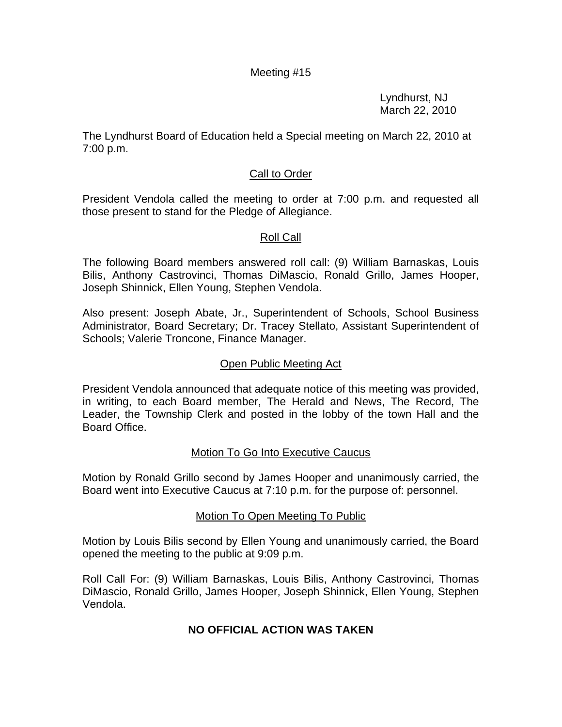## Meeting #15

 Lyndhurst, NJ March 22, 2010

The Lyndhurst Board of Education held a Special meeting on March 22, 2010 at 7:00 p.m.

# **Call to Order**

President Vendola called the meeting to order at 7:00 p.m. and requested all those present to stand for the Pledge of Allegiance.

## Roll Call

The following Board members answered roll call: (9) William Barnaskas, Louis Bilis, Anthony Castrovinci, Thomas DiMascio, Ronald Grillo, James Hooper, Joseph Shinnick, Ellen Young, Stephen Vendola.

Also present: Joseph Abate, Jr., Superintendent of Schools, School Business Administrator, Board Secretary; Dr. Tracey Stellato, Assistant Superintendent of Schools; Valerie Troncone, Finance Manager.

## Open Public Meeting Act

President Vendola announced that adequate notice of this meeting was provided, in writing, to each Board member, The Herald and News, The Record, The Leader, the Township Clerk and posted in the lobby of the town Hall and the Board Office.

#### Motion To Go Into Executive Caucus

Motion by Ronald Grillo second by James Hooper and unanimously carried, the Board went into Executive Caucus at 7:10 p.m. for the purpose of: personnel.

#### Motion To Open Meeting To Public

Motion by Louis Bilis second by Ellen Young and unanimously carried, the Board opened the meeting to the public at 9:09 p.m.

Roll Call For: (9) William Barnaskas, Louis Bilis, Anthony Castrovinci, Thomas DiMascio, Ronald Grillo, James Hooper, Joseph Shinnick, Ellen Young, Stephen Vendola.

# **NO OFFICIAL ACTION WAS TAKEN**